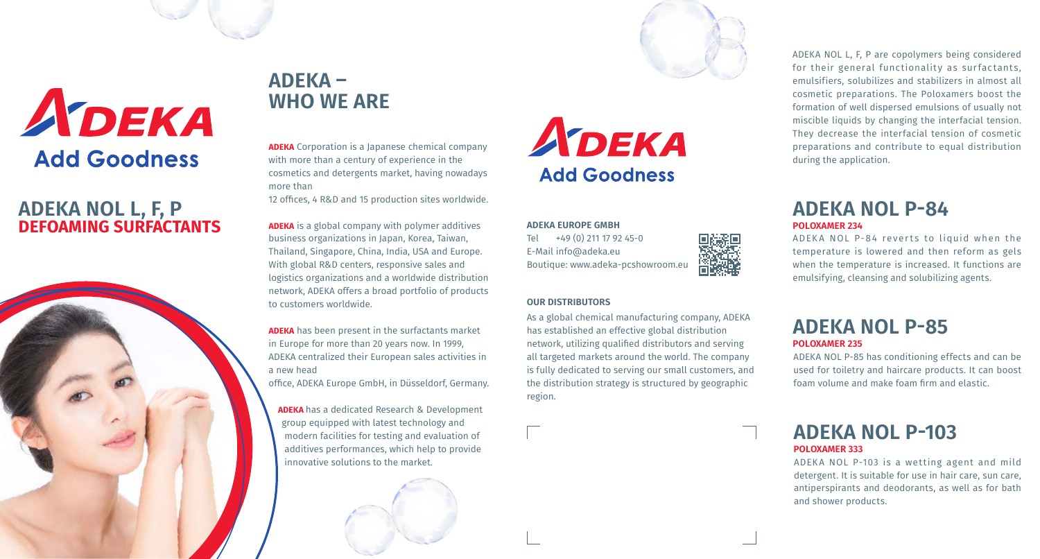

### **ADEKA NOL L, F, P DEFOAMING SURFACTANTS**



## **ADEKA – WHO WE ARE**

**ADEKA** Corporation is a Japanese chemical company with more than a century of experience in the cosmetics and detergents market, having nowadays more than

12 offices, 4 R&D and 15 production sites worldwide.

**ADEKA** is a global company with polymer additives business organizations in Japan, Korea, Taiwan, Thailand, Singapore, China, India, USA and Europe. With global R&D centers, responsive sales and logistics organizations and a worldwide distribution network, ADEKA offers a broad portfolio of products to customers worldwide.

**ADEKA** has been present in the surfactants market in Europe for more than 20 years now. In 1999, ADEKA centralized their European sales activities in a new head office, ADEKA Europe GmbH, in Düsseldorf, Germany.

**ADEKA** has a dedicated Research & Development group equipped with latest technology and modern facilities for testing and evaluation of additives performances, which help to provide innovative solutions to the market.

# ADEKA **Add Goodness**

**ADEKA EUROPE GMBH** Tel +49 (0) 211 17 92 45-0 E-Mail info@adeka.eu Boutique: www.adeka-pcshowroom.eu

#### **OUR DISTRIBUTORS**

As a global chemical manufacturing company, ADEKA has established an effective global distribution network, utilizing qualified distributors and serving all targeted markets around the world. The company is fully dedicated to serving our small customers, and the distribution strategy is structured by geographic region.

ADEKA NOL L, F, P are copolymers being considered for their general functionality as surfactants, emulsifiers, solubilizes and stabilizers in almost all cosmetic preparations. The Poloxamers boost the formation of well dispersed emulsions of usually not miscible liquids by changing the interfacial tension. They decrease the interfacial tension of cosmetic preparations and contribute to equal distribution during the application.

#### **ADEKA NOL P-84 POLOXAMER 234**

ADEKA NOL P-84 reverts to liquid when the temperature is lowered and then reform as gels when the temperature is increased. It functions are emulsifying, cleansing and solubilizing agents.

#### **ADEKA NOL P-85 POLOXAMER 235**

ADEKA NOL P-85 has conditioning effects and can be used for toiletry and haircare products. It can boost foam volume and make foam firm and elastic.

#### **ADEKA NOL P-103 POLOXAMER 333**

ADEKA NOL P-103 is a wetting agent and mild detergent. It is suitable for use in hair care, sun care, antiperspirants and deodorants, as well as for bath and shower products.